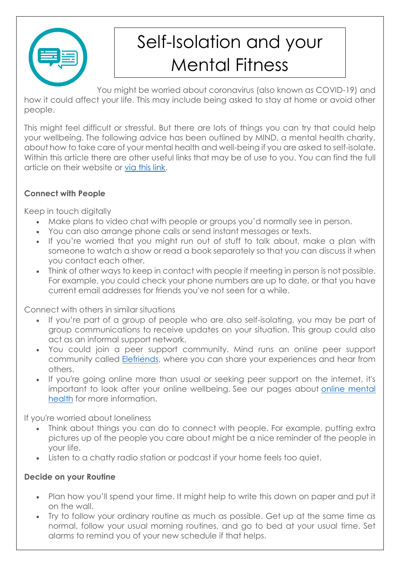

# Self-Isolation and your Mental Fitness

You might be worried about coronavirus (also known as COVID-19) and how it could affect your life. This may include being asked to stay at home or avoid other people.

This might feel difficult or stressful. But there are lots of things you can try that could help your wellbeing. The following advice has been outlined by MIND, a mental health charity, about how to take care of your mental health and well-being if you are asked to self-isolate. Within this article there are other useful links that may be of use to you. You can find the full article on their website or [via this link.](https://www.mind.org.uk/information-support/coronavirus-and-your-wellbeing/#collapse92b57)

## **Connect with People**

Keep in touch digitally

- Make plans to video chat with people or groups you'd normally see in person.
- You can also arrange phone calls or send instant messages or texts.
- If you're worried that you might run out of stuff to talk about, make a plan with someone to watch a show or read a book separately so that you can discuss it when you contact each other.
- Think of other ways to keep in contact with people if meeting in person is not possible. For example, you could check your phone numbers are up to date, or that you have current email addresses for friends you've not seen for a while.

Connect with others in similar situations

- If you're part of a group of people who are also self-isolating, you may be part of group communications to receive updates on your situation. This group could also act as an informal support network.
- You could join a peer support community. Mind runs an online peer support community called [Elefriends,](https://www.mind.org.uk/information-support/support-community-elefriends/) where you can share your experiences and hear from others.
- If you're going online more than usual or seeking peer support on the internet, it's important to look after your online wellbeing. See our pages about [online mental](https://www.mind.org.uk/information-support/tips-for-everyday-living/online-mental-health/)  [health](https://www.mind.org.uk/information-support/tips-for-everyday-living/online-mental-health/) for more information.

If you're worried about loneliness

- Think about things you can do to connect with people. For example, putting extra pictures up of the people you care about might be a nice reminder of the people in your life.
- Listen to a chatty radio station or podcast if your home feels too quiet.

#### **Decide on your Routine**

- Plan how you'll spend your time. It might help to write this down on paper and put it on the wall.
- Try to follow your ordinary routine as much as possible. Get up at the same time as normal, follow your usual morning routines, and go to bed at your usual time. Set alarms to remind you of your new schedule if that helps.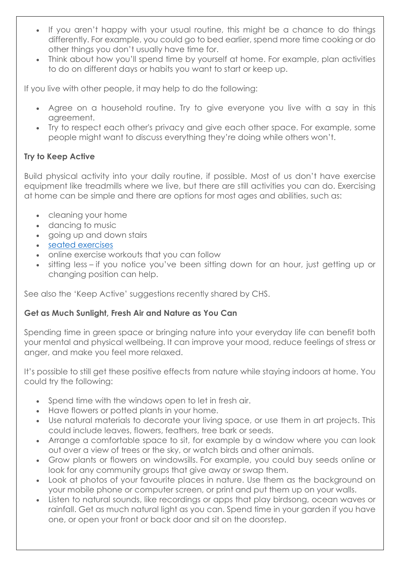- If you aren't happy with your usual routine, this might be a chance to do things differently. For example, you could go to bed earlier, spend more time cooking or do other things you don't usually have time for.
- Think about how you'll spend time by yourself at home. For example, plan activities to do on different days or habits you want to start or keep up.

If you live with other people, it may help to do the following:

- Agree on a household routine. Try to give everyone you live with a say in this agreement.
- Try to respect each other's privacy and give each other space. For example, some people might want to discuss everything they're doing while others won't.

#### **Try to Keep Active**

Build physical activity into your daily routine, if possible. Most of us don't have exercise equipment like treadmills where we live, but there are still activities you can do. Exercising at home can be simple and there are options for most ages and abilities, such as:

- cleaning your home
- dancing to music
- going up and down stairs
- [seated exercises](https://www.nhs.uk/live-well/exercise/sitting-exercises/)
- online exercise workouts that you can follow
- sitting less if you notice you've been sitting down for an hour, just getting up or changing position can help.

See also the 'Keep Active' suggestions recently shared by CHS.

#### **Get as Much Sunlight, Fresh Air and Nature as You Can**

Spending time in green space or bringing nature into your everyday life can benefit both your mental and physical wellbeing. It can improve your mood, reduce feelings of stress or anger, and make you feel more relaxed.

It's possible to still get these positive effects from nature while staying indoors at home. You could try the following:

- Spend time with the windows open to let in fresh air.
- Have flowers or potted plants in your home.
- Use natural materials to decorate your living space, or use them in art projects. This could include leaves, flowers, feathers, tree bark or seeds.
- Arrange a comfortable space to sit, for example by a window where you can look out over a view of trees or the sky, or watch birds and other animals.
- Grow plants or flowers on windowsills. For example, you could buy seeds online or look for any community groups that give away or swap them.
- Look at photos of your favourite places in nature. Use them as the background on your mobile phone or computer screen, or print and put them up on your walls.
- Listen to natural sounds, like recordings or apps that play birdsong, ocean waves or rainfall. Get as much natural light as you can. Spend time in your garden if you have one, or open your front or back door and sit on the doorstep.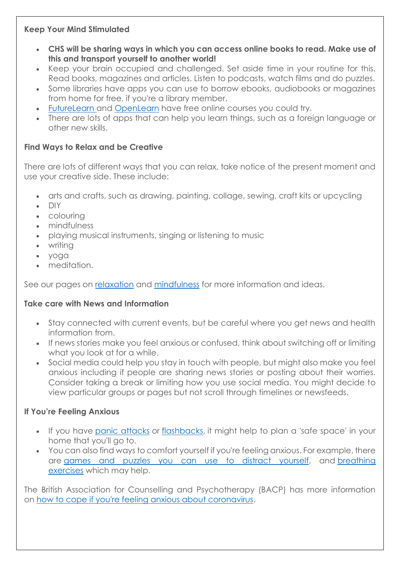#### **Keep Your Mind Stimulated**

- **CHS will be sharing ways in which you can access online books to read. Make use of this and transport yourself to another world!**
- Keep your brain occupied and challenged. Set aside time in your routine for this. Read books, magazines and articles. Listen to podcasts, watch films and do puzzles.
- Some libraries have apps you can use to borrow ebooks, audiobooks or magazines from home for free, if you're a library member.
- [FutureLearn](https://www.futurelearn.com/) and [OpenLearn](https://www.open.ac.uk/about/open-educational-resources/openlearn) have free online courses you could try.
- There are lots of apps that can help you learn things, such as a foreign language or other new skills.

# **Find Ways to Relax and be Creative**

There are lots of different ways that you can relax, take notice of the present moment and use your creative side. These include:

- arts and crafts, such as drawing, painting, collage, sewing, craft kits or upcycling
- $\bullet$  DIY
- colouring
- mindfulness
- playing musical instruments, singing or listening to music
- writing
- yoga
- meditation.

See our pages on [relaxation](https://www.mind.org.uk/information-support/tips-for-everyday-living/relaxation/) and [mindfulness](https://www.mind.org.uk/information-support/drugs-and-treatments/mindfulness/) for more information and ideas.

# **Take care with News and Information**

- Stay connected with current events, but be careful where you get news and health information from.
- . If news stories make you feel anxious or confused, think about switching off or limiting what you look at for a while.
- Social media could help you stay in touch with people, but might also make you feel anxious including if people are sharing news stories or posting about their worries. Consider taking a break or limiting how you use social media. You might decide to view particular groups or pages but not scroll through timelines or newsfeeds.

# **If You're Feeling Anxious**

- If you have [panic attacks](https://www.mind.org.uk/information-support/types-of-mental-health-problems/anxiety-and-panic-attacks/panic-attacks/) or [flashbacks,](https://www.mind.org.uk/information-support/types-of-mental-health-problems/post-traumatic-stress-disorder-ptsd/self-care-for-ptsd/) it might help to plan a 'safe space' in your home that you'll go to.
- You can also find ways to comfort yourself if you're feeling anxious. For example, there are [games and puzzles you can use to distract yourself,](https://www.mind.org.uk/need-urgent-help/how-can-i-distract-myself/games-and-puzzles/) and [breathing](https://www.mind.org.uk/information-support/types-of-mental-health-problems/anxiety-and-panic-attacks/self-care-for-anxiety/)  [exercises](https://www.mind.org.uk/information-support/types-of-mental-health-problems/anxiety-and-panic-attacks/self-care-for-anxiety/) which may help.

The British Association for Counselling and Psychotherapy (BACP) has more information on [how to cope if you're feeling anxious about coronavirus.](https://www.bacp.co.uk/news/news-from-bacp/2020/28-february-coronavirus-anxiety-how-to-cope-if-you-re-feeling-anxious-about-the-outbreak/)